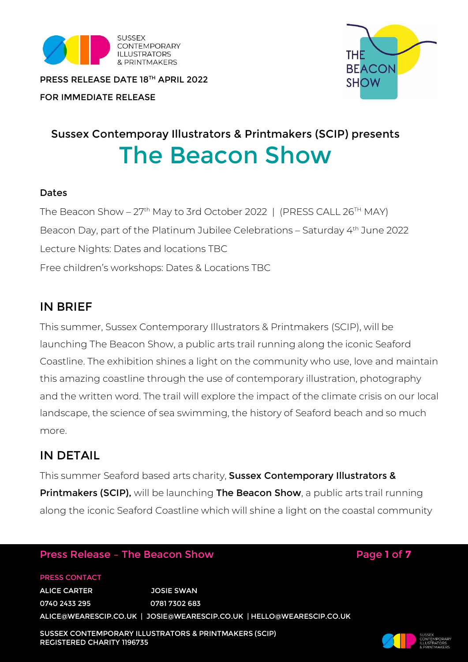

THE **BEACON SHOW** 

PRESS RELEASE DATE 18TH APRIL 2022

## FOR IMMEDIATE RELEASE

# Sussex Contemporay Illustrators & Printmakers (SCIP) presents The Beacon Show

#### Dates

The Beacon Show - 27<sup>th</sup> May to 3rd October 2022 | (PRESS CALL 26<sup>TH</sup> MAY) Beacon Day, part of the Platinum Jubilee Celebrations – Saturday 4th June 2022 Lecture Nights: Dates and locations TBC Free children's workshops: Dates & Locations TBC

## IN BRIEF

This summer, Sussex Contemporary Illustrators & Printmakers (SCIP), will be launching The Beacon Show, a public arts trail running along the iconic Seaford Coastline. The exhibition shines a light on the community who use, love and maintain this amazing coastline through the use of contemporary illustration, photography and the written word. The trail will explore the impact of the climate crisis on our local landscape, the science of sea swimming, the history of Seaford beach and so much more.

## IN DETAIL

This summer Seaford based arts charity, Sussex Contemporary Illustrators & **Printmakers (SCIP),** will be launching **The Beacon Show**, a public arts trail running along the iconic Seaford Coastline which will shine a light on the coastal community

## Press Release – The Beacon Show Page **1** of **7**

PRESS CONTACT ALICE CARTER JOSIE SWAN 0740 2433 295 0781 7302 683 ALICE@WEARESCIP.CO.UK | JOSIE@WEARESCIP.CO.UK | [HELLO@WEARESCIP.CO.UK](mailto:hello@wearescip.co.uk)

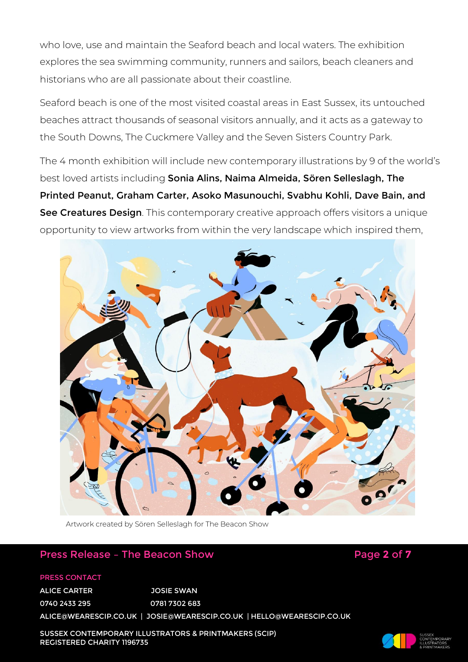who love, use and maintain the Seaford beach and local waters. The exhibition explores the sea swimming community, runners and sailors, beach cleaners and historians who are all passionate about their coastline.

Seaford beach is one of the most visited coastal areas in East Sussex, its untouched beaches attract thousands of seasonal visitors annually, and it acts as a gateway to the South Downs, The Cuckmere Valley and the Seven Sisters Country Park.

The 4 month exhibition will include new contemporary illustrations by 9 of the world's best loved artists including Sonia Alins, Naima Almeida, Sören Selleslagh, The Printed Peanut, Graham Carter, Asoko Masunouchi, Svabhu Kohli, Dave Bain, and See Creatures Design. This contemporary creative approach offers visitors a unique opportunity to view artworks from within the very landscape which inspired them,



Artwork created by Sören Selleslagh for The Beacon Show

## Press Release - The Beacon Show **Page 2** of 7

#### PRESS CONTACT

ALICE CARTER JOSIE SWAN 0740 2433 295 0781 7302 683 ALICE@WEARESCIP.CO.UK | JOSIE@WEARESCIP.CO.UK | [HELLO@WEARESCIP.CO.UK](mailto:hello@wearescip.co.uk)

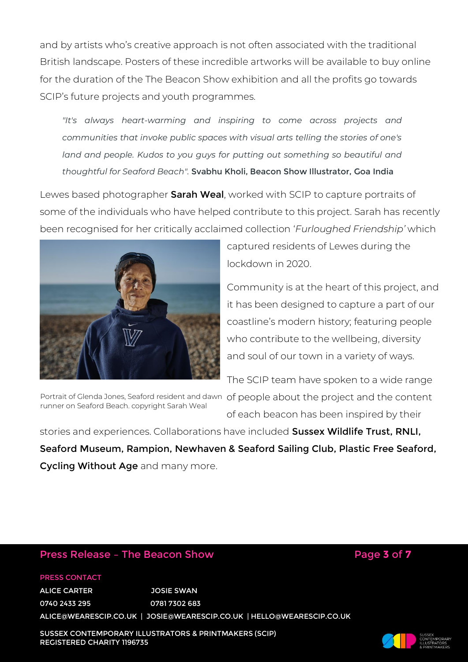and by artists who's creative approach is not often associated with the traditional British landscape. Posters of these incredible artworks will be available to buy online for the duration of the The Beacon Show exhibition and all the profits go towards SCIP's future projects and youth programmes.

*"It's always heart-warming and inspiring to come across projects and communities that invoke public spaces with visual arts telling the stories of one's*  land and people. Kudos to you guys for putting out something so beautiful and *thoughtful for Seaford Beach".* Svabhu Kholi, Beacon Show Illustrator, Goa India

Lewes based photographer **Sarah Weal**, worked with SCIP to capture portraits of some of the individuals who have helped contribute to this project. Sarah has recently been recognised for her critically acclaimed collection '*Furloughed Friendship'* which



captured residents of Lewes during the lockdown in 2020.

Community is at the heart of this project, and it has been designed to capture a part of our coastline's modern history; featuring people who contribute to the wellbeing, diversity and soul of our town in a variety of ways.

The SCIP team have spoken to a wide range

runner on Seaford Beach. copyright Sarah Weal

Portrait of Glenda Jones, Seaford resident and dawn  $\,$  of people about the project and the content of each beacon has been inspired by their

stories and experiences. Collaborations have included Sussex Wildlife Trust, RNLI, Seaford Museum, Rampion, Newhaven & Seaford Sailing Club, Plastic Free Seaford, Cycling Without Age and many more.

### Press Release - The Beacon Show **Page 3 of 7**

#### PRESS CONTACT

ALICE CARTER JOSIE SWAN 0740 2433 295 0781 7302 683 ALICE@WEARESCIP.CO.UK | JOSIE@WEARESCIP.CO.UK | [HELLO@WEARESCIP.CO.UK](mailto:hello@wearescip.co.uk)

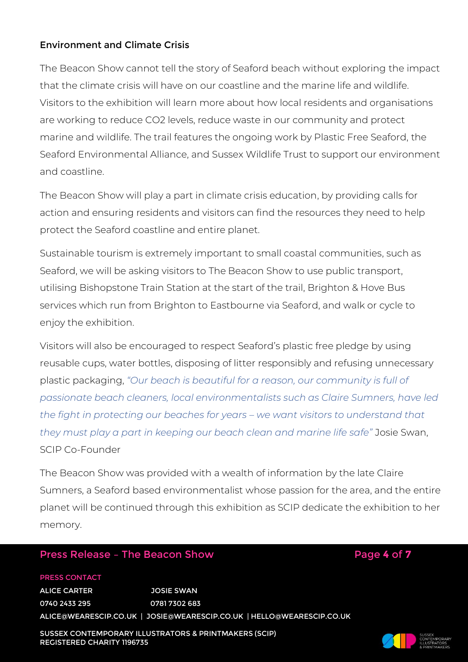#### Environment and Climate Crisis

The Beacon Show cannot tell the story of Seaford beach without exploring the impact that the climate crisis will have on our coastline and the marine life and wildlife. Visitors to the exhibition will learn more about how local residents and organisations are working to reduce CO2 levels, reduce waste in our community and protect marine and wildlife. The trail features the ongoing work by Plastic Free Seaford, the Seaford Environmental Alliance, and Sussex Wildlife Trust to support our environment and coastline.

The Beacon Show will play a part in climate crisis education, by providing calls for action and ensuring residents and visitors can find the resources they need to help protect the Seaford coastline and entire planet.

Sustainable tourism is extremely important to small coastal communities, such as Seaford, we will be asking visitors to The Beacon Show to use public transport, utilising Bishopstone Train Station at the start of the trail, Brighton & Hove Bus services which run from Brighton to Eastbourne via Seaford, and walk or cycle to enjoy the exhibition.

Visitors will also be encouraged to respect Seaford's plastic free pledge by using reusable cups, water bottles, disposing of litter responsibly and refusing unnecessary plastic packaging, *"Our beach is beautiful for a reason, our community is full of passionate beach cleaners, local environmentalists such as Claire Sumners, have led the fight in protecting our beaches for years – we want visitors to understand that they must play a part in keeping our beach clean and marine life safe"* Josie Swan, SCIP Co-Founder

The Beacon Show was provided with a wealth of information by the late Claire Sumners, a Seaford based environmentalist whose passion for the area, and the entire planet will be continued through this exhibition as SCIP dedicate the exhibition to her memory.

## Press Release - The Beacon Show **Page 4 of 7**

#### PRESS CONTACT

ALICE CARTER JOSIE SWAN 0740 2433 295 0781 7302 683 ALICE@WEARESCIP.CO.UK | JOSIE@WEARESCIP.CO.UK | [HELLO@WEARESCIP.CO.UK](mailto:hello@wearescip.co.uk)

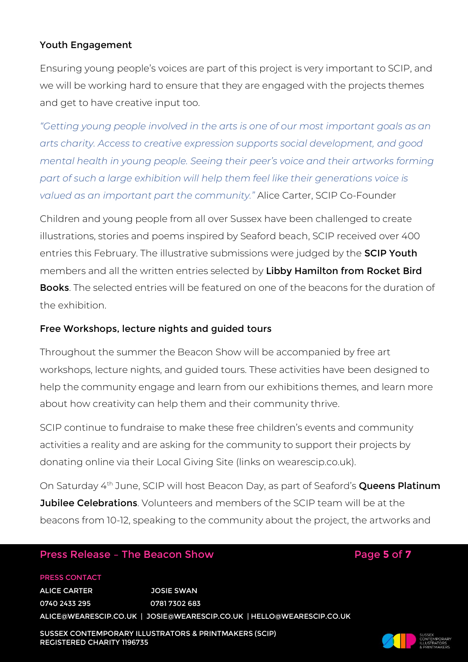#### Youth Engagement

Ensuring young people's voices are part of this project is very important to SCIP, and we will be working hard to ensure that they are engaged with the projects themes and get to have creative input too.

*"Getting young people involved in the arts is one of our most important goals as an arts charity. Access to creative expression supports social development, and good mental health in young people. Seeing their peer's voice and their artworks forming part of such a large exhibition will help them feel like their generations voice is valued as an important part the community."* Alice Carter, SCIP Co-Founder

Children and young people from all over Sussex have been challenged to create illustrations, stories and poems inspired by Seaford beach, SCIP received over 400 entries this February. The illustrative submissions were judged by the **SCIP Youth** members and all the written entries selected by Libby Hamilton from Rocket Bird **Books**. The selected entries will be featured on one of the beacons for the duration of the exhibition.

#### Free Workshops, lecture nights and guided tours

Throughout the summer the Beacon Show will be accompanied by free art workshops, lecture nights, and guided tours. These activities have been designed to help the community engage and learn from our exhibitions themes, and learn more about how creativity can help them and their community thrive.

SCIP continue to fundraise to make these free children's events and community activities a reality and are asking for the community to support their projects by donating online via their Local Giving Site (links on wearescip.co.uk).

On Saturday 4<sup>th</sup> June, SCIP will host Beacon Day, as part of Seaford's **Queens Platinum Jubilee Celebrations**. Volunteers and members of the SCIP team will be at the beacons from 10-12, speaking to the community about the project, the artworks and

## Press Release - The Beacon Show Page 5 of 7

#### PRESS CONTACT

ALICE CARTER JOSIE SWAN 0740 2433 295 0781 7302 683 ALICE@WEARESCIP.CO.UK | JOSIE@WEARESCIP.CO.UK | [HELLO@WEARESCIP.CO.UK](mailto:hello@wearescip.co.uk)



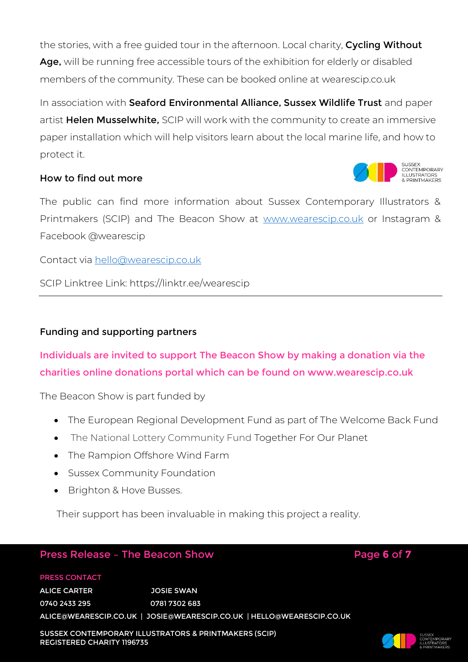the stories, with a free guided tour in the afternoon. Local charity, Cycling Without Age, will be running free accessible tours of the exhibition for elderly or disabled members of the community. These can be booked online at wearescip.co.uk

In association with Seaford Environmental Alliance, Sussex Wildlife Trust and paper artist Helen Musselwhite, SCIP will work with the community to create an immersive paper installation which will help visitors learn about the local marine life, and how to protect it.

#### How to find out more



The public can find more information about Sussex Contemporary Illustrators & Printmakers (SCIP) and The Beacon Show at [www.wearescip.co.uk](http://www.wearescip.co.uk/) or Instagram & Facebook @wearescip

Contact via [hello@wearescip.co.uk](mailto:hello@wearescip.co.uk)

SCIP Linktree Link: https://linktr.ee/wearescip

#### Funding and supporting partners

Individuals are invited to support The Beacon Show by making a donation via the charities online donations portal which can be found on www.wearescip.co.uk

The Beacon Show is part funded by

- The European Regional Development Fund as part of The Welcome Back Fund
- The National Lottery Community Fund Together For Our Planet
- The Rampion Offshore Wind Farm
- Sussex Community Foundation
- Brighton & Hove Busses.

Their support has been invaluable in making this project a reality.

## Press Release - The Beacon Show **Page 6** of 7

#### PRESS CONTACT

ALICE CARTER JOSIE SWAN 0740 2433 295 0781 7302 683 ALICE@WEARESCIP.CO.UK | JOSIE@WEARESCIP.CO.UK | [HELLO@WEARESCIP.CO.UK](mailto:hello@wearescip.co.uk)